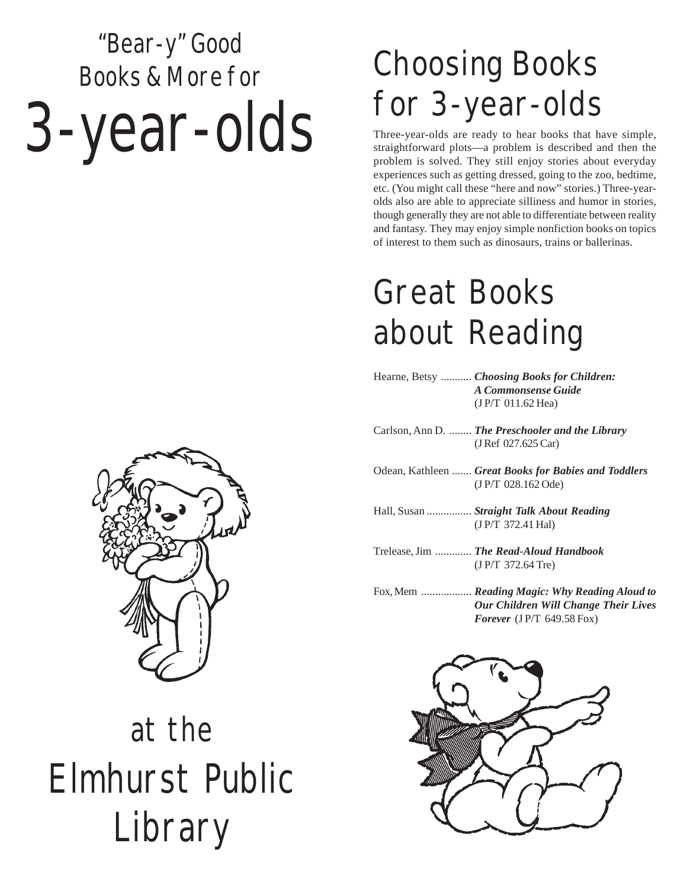# "Bear-y" Good Books & More for 3-year-olds

### Choosing Books for 3-year-olds

Three-year-olds are ready to hear books that have simple, straightforward plots—a problem is described and then the problem is solved. They still enjoy stories about everyday experiences such as getting dressed, going to the zoo, bedtime, etc. (You might call these "here and now" stories.) Three-yearolds also are able to appreciate silliness and humor in stories, though generally they are not able to differentiate between reality and fantasy. They may enjoy simple nonfiction books on topics of interest to them such as dinosaurs, trains or ballerinas.

### Great Books about Reading

- Hearne, Betsy ........... *Choosing Books for Children: A Commonsense Guide* (J P/T 011.62 Hea)
- Carlson, Ann D. ........ *The Preschooler and the Library* (J Ref 027.625 Car)
- Odean, Kathleen ....... *Great Books for Babies and Toddlers* (J P/T 028.162 Ode)
- Hall, Susan ................ *Straight Talk About Reading* (J P/T 372.41 Hal)
- Trelease, Jim ............. *The Read-Aloud Handbook* (J P/T 372.64 Tre)

Fox, Mem .................. *Reading Magic: Why Reading Aloud to Our Children Will Change Their Lives Forever* (J P/T 649.58 Fox)





## at the Elmhurst Public Library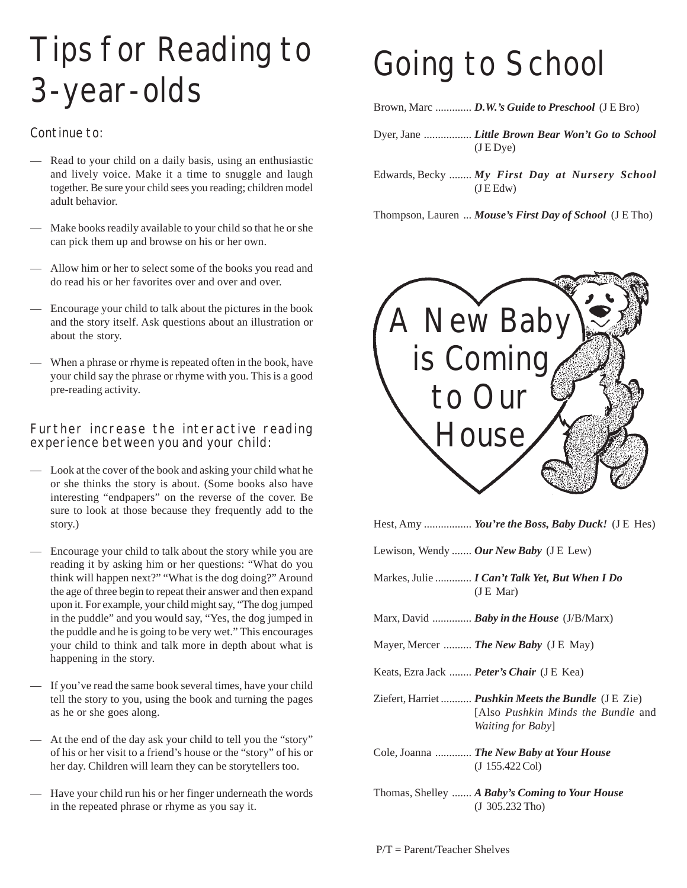### Tips for Reading to 3-year-olds

#### Continue to:

- Read to your child on a daily basis, using an enthusiastic and lively voice. Make it a time to snuggle and laugh together. Be sure your child sees you reading; children model adult behavior.
- Make books readily available to your child so that he or she can pick them up and browse on his or her own.
- Allow him or her to select some of the books you read and do read his or her favorites over and over and over.
- Encourage your child to talk about the pictures in the book and the story itself. Ask questions about an illustration or about the story.
- When a phrase or rhyme is repeated often in the book, have your child say the phrase or rhyme with you. This is a good pre-reading activity.

#### Further increase the interactive reading experience between you and your child:

- Look at the cover of the book and asking your child what he or she thinks the story is about. (Some books also have interesting "endpapers" on the reverse of the cover. Be sure to look at those because they frequently add to the story.)
- Encourage your child to talk about the story while you are reading it by asking him or her questions: "What do you think will happen next?" "What is the dog doing?" Around the age of three begin to repeat their answer and then expand upon it. For example, your child might say, "The dog jumped in the puddle" and you would say, "Yes, the dog jumped in the puddle and he is going to be very wet." This encourages your child to think and talk more in depth about what is happening in the story.
- If you've read the same book several times, have your child tell the story to you, using the book and turning the pages as he or she goes along.
- At the end of the day ask your child to tell you the "story" of his or her visit to a friend's house or the "story" of his or her day. Children will learn they can be storytellers too.
- Have your child run his or her finger underneath the words in the repeated phrase or rhyme as you say it.

### Going to School

Brown, Marc ............. *D.W.'s Guide to Preschool* (J E Bro)

Dyer, Jane ................. *Little Brown Bear Won't Go to School* (J E Dye)

Edwards, Becky ........ *My First Day at Nursery School*  $(J E Edw)$ 

Thompson, Lauren ... *Mouse's First Day of School* (J E Tho)



Hest, Amy ................. *You're the Boss, Baby Duck!* (J E Hes)

| $11581,$ Alliy  100 Te the DOSS, Davy Duck: (J E TI5S)                                                                             |
|------------------------------------------------------------------------------------------------------------------------------------|
| Lewison, Wendy  Our New Baby (J E Lew)                                                                                             |
| Markes, Julie  I Can't Talk Yet, But When I Do<br>$(JE$ Mar)                                                                       |
| Marx, David <b>Baby in the House</b> (J/B/Marx)                                                                                    |
| Mayer, Mercer  The New Baby (J E May)                                                                                              |
| Keats, Ezra Jack <i>Peter's Chair</i> (J E Kea)                                                                                    |
| Ziefert, Harriet <i>Pushkin Meets the Bundle</i> (J E Zie)<br>[Also <i>Pushkin Minds the Bundle</i> and<br><i>Waiting for Baby</i> |
| Cole, Joanna  The New Baby at Your House<br>(J 155.422 Col)                                                                        |
| Thomas, Shelley  A Baby's Coming to Your House<br>$(J \, 305.232 \, \text{Tho})$                                                   |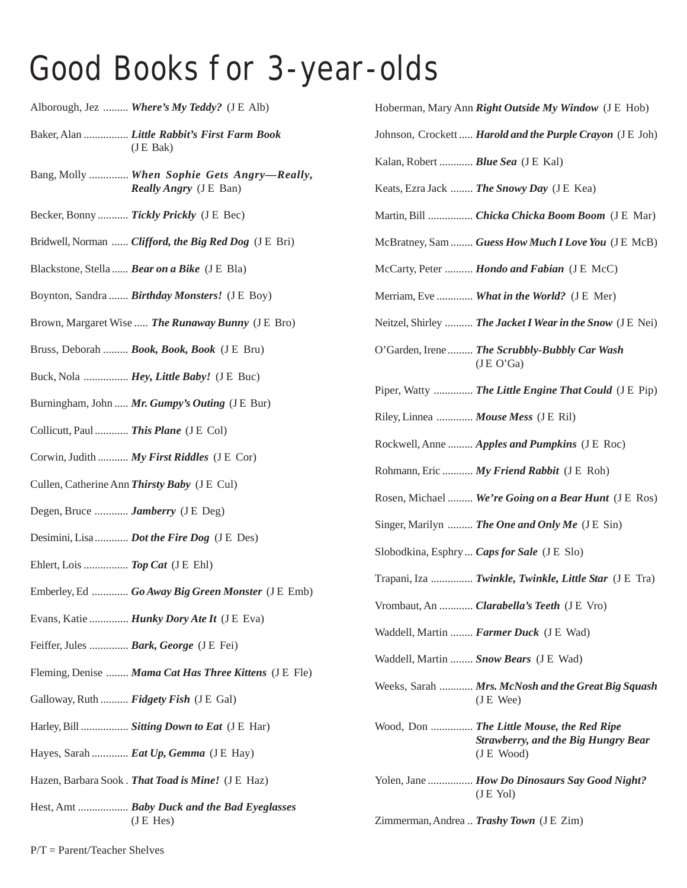### Good Books for 3-year-olds

| Alborough, Jez  Where's My Teddy? (J E Alb)                                  | Hoberman, Mary Ann Right Outside My Window (J E Hob)                  |
|------------------------------------------------------------------------------|-----------------------------------------------------------------------|
| Baker, Alan  Little Rabbit's First Farm Book<br>$($ J $E$ $Bak)$             | Johnson, Crockett  Harold and the Purple Crayon (JE Joh)              |
|                                                                              | Kalan, Robert  Blue Sea (J E Kal)                                     |
| Bang, Molly  When Sophie Gets Angry-Really,<br><b>Really Angry</b> (J E Ban) | Keats, Ezra Jack  The Snowy Day (J E Kea)                             |
| Becker, Bonny  Tickly Prickly (J E Bec)                                      | Martin, Bill  Chicka Chicka Boom Boom (J E Mar)                       |
| Bridwell, Norman  Clifford, the Big Red Dog (J E Bri)                        | McBratney, Sam  Guess How Much I Love You (J E McB)                   |
| Blackstone, Stella <b>Bear on a Bike</b> (J E Bla)                           | McCarty, Peter  Hondo and Fabian (J E McC)                            |
| Boynton, Sandra  Birthday Monsters! (JE Boy)                                 | Merriam, Eve  What in the World? (J E Mer)                            |
| Brown, Margaret Wise  The Runaway Bunny (J E Bro)                            | Neitzel, Shirley  The Jacket I Wear in the Snow (JE Nei)              |
| Bruss, Deborah  Book, Book, Book (JE Bru)                                    | O'Garden, Irene  The Scrubbly-Bubbly Car Wash<br>(JE O'Ga)            |
| Buck, Nola  Hey, Little Baby! (JE Buc)                                       |                                                                       |
| Burningham, John  Mr. Gumpy's Outing (J E Bur)                               | Piper, Watty  The Little Engine That Could (J E Pip)                  |
| Collicutt, Paul This Plane (J E Col)                                         | Riley, Linnea  Mouse Mess (JE Ril)                                    |
| Corwin, Judith  My First Riddles (J E Cor)                                   | Rockwell, Anne  Apples and Pumpkins (J E Roc)                         |
| Cullen, Catherine Ann Thirsty Baby (J E Cul)                                 | Rohmann, Eric  My Friend Rabbit (J E Roh)                             |
| Degen, Bruce <i>Jamberry</i> (JE Deg)                                        | Rosen, Michael  We're Going on a Bear Hunt (J E Ros)                  |
| Desimini, Lisa  Dot the Fire Dog (J E Des)                                   | Singer, Marilyn  The One and Only Me (J E Sin)                        |
| Ehlert, Lois  Top Cat (J E Ehl)                                              | Slobodkina, Esphry  Caps for Sale (J E Slo)                           |
| Emberley, Ed  Go Away Big Green Monster (J E Emb)                            | Trapani, Iza  Twinkle, Twinkle, Little Star (J E Tra)                 |
| Evans, Katie  Hunky Dory Ate It (JE Eva)                                     | Vrombaut, An  Clarabella's Teeth (J E Vro)                            |
| Feiffer, Jules  Bark, George (J E Fei)                                       | Waddell, Martin  Farmer Duck (J E Wad)                                |
| Fleming, Denise  Mama Cat Has Three Kittens (J E Fle)                        | Waddell, Martin  Snow Bears (J E Wad)                                 |
| Galloway, Ruth  Fidgety Fish (J E Gal)                                       | Weeks, Sarah  Mrs. McNosh and the Great Big Squash<br>$($ J E Wee $)$ |
| Harley, Bill  Sitting Down to Eat (J E Har)                                  | Wood, Don  The Little Mouse, the Red Ripe                             |
| Hayes, Sarah <i>Eat Up</i> , <i>Gemma</i> (J E Hay)                          | <b>Strawberry, and the Big Hungry Bear</b><br>$($ J E Wood $)$        |
| Hazen, Barbara Sook. That Toad is Mine! (J E Haz)                            | Yolen, Jane  How Do Dinosaurs Say Good Night?                         |
| Hest, Amt  Baby Duck and the Bad Eyeglasses<br>$(JE$ Hes $)$                 | $(JE \text{Vol})$<br>Zimmerman, Andrea  Trashy Town (J E Zim)         |